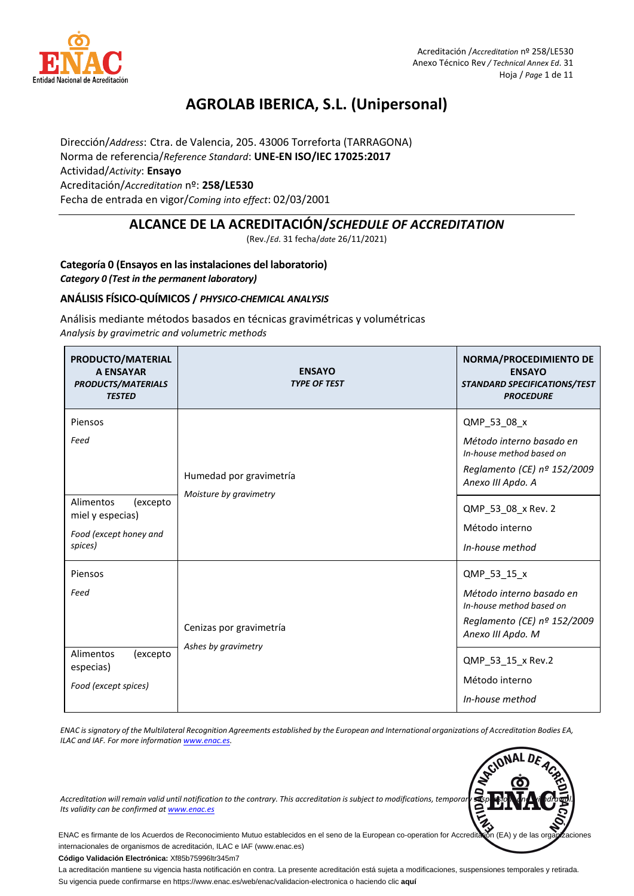

## **AGROLAB IBERICA, S.L. (Unipersonal)**

Dirección/*Address*: Ctra. de Valencia, 205. 43006 Torreforta (TARRAGONA) Norma de referencia/*Reference Standard*: **UNE-EN ISO/IEC 17025:2017** Actividad/*Activity*: **Ensayo** Acreditación/*Accreditation* nº: **258/LE530** Fecha de entrada en vigor/*Coming into effect*: 02/03/2001

## **ALCANCE DE LA ACREDITACIÓN/***SCHEDULE OF ACCREDITATION*

(Rev./*Ed*. 31 fecha/*date* 26/11/2021)

## **Categoría 0 (Ensayos en las instalaciones del laboratorio)**  *Category 0 (Test in the permanent laboratory)*

### **ANÁLISIS FÍSICO-QUÍMICOS /** *PHYSICO-CHEMICAL ANALYSIS*

Análisis mediante métodos basados en técnicas gravimétricas y volumétricas *Analysis by gravimetric and volumetric methods* 

| PRODUCTO/MATERIAL<br><b>A ENSAYAR</b><br><b>PRODUCTS/MATERIALS</b><br><b>TESTED</b>               | <b>ENSAYO</b><br><b>TYPE OF TEST</b>              | NORMA/PROCEDIMIENTO DE<br><b>ENSAYO</b><br><b>STANDARD SPECIFICATIONS/TEST</b><br><b>PROCEDURE</b>                                                                                 |
|---------------------------------------------------------------------------------------------------|---------------------------------------------------|------------------------------------------------------------------------------------------------------------------------------------------------------------------------------------|
| Piensos<br>Feed<br>Alimentos<br>(excepto<br>miel y especias)<br>Food (except honey and<br>spices) | Humedad por gravimetría<br>Moisture by gravimetry | QMP_53_08_x<br>Método interno basado en<br>In-house method based on<br>Reglamento (CE) nº 152/2009<br>Anexo III Apdo. A<br>QMP_53_08_x Rev. 2<br>Método interno<br>In-house method |
| Piensos<br>Feed<br>Alimentos<br>(excepto<br>especias)<br>Food (except spices)                     | Cenizas por gravimetría<br>Ashes by gravimetry    | QMP_53_15_x<br>Método interno basado en<br>In-house method based on<br>Reglamento (CE) nº 152/2009<br>Anexo III Apdo. M<br>QMP_53_15_x Rev.2<br>Método interno<br>In-house method  |

*ENAC is signatory of the Multilateral Recognition Agreements established by the European and International organizations of Accreditation Bodies EA, ILAC and IAF. For more informatio[n www.enac.es.](http://www.enac.es/)*



*Accreditation will remain valid until notification to the contrary. This accreditation is subject to modifications, temporary suspensions and withdrawal. Its validity can be confirmed a[t www.enac.es](http://www.enac.es/)*

ENAC es firmante de los Acuerdos de Reconocimiento Mutuo establecidos en el seno de la European co-operation for Accreditation (EA) y de las organizaciones internacionales de organismos de acreditación, ILAC e IAF (www.enac.es)

**Código Validación Electrónica:** Xf85b75996ltr345m7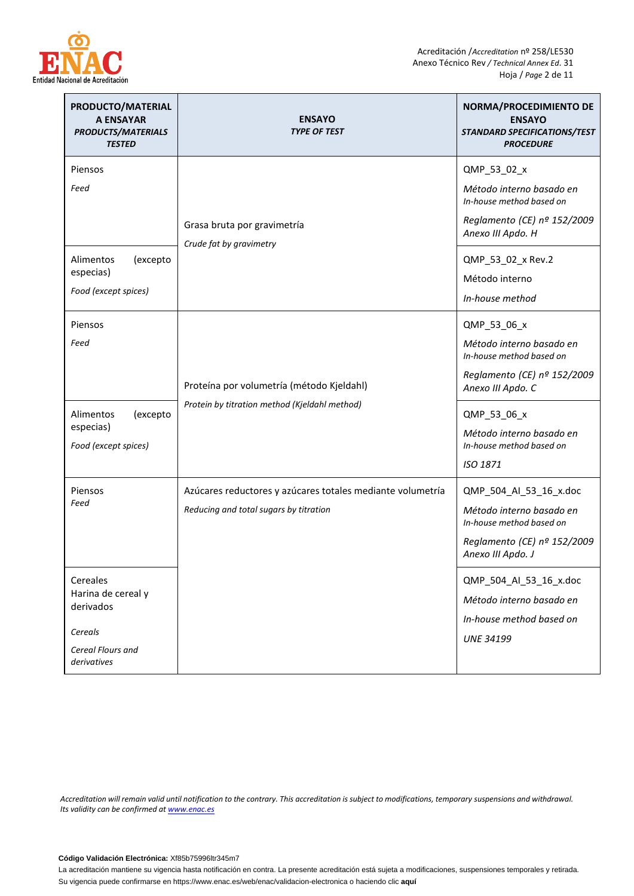

| PRODUCTO/MATERIAL<br><b>A ENSAYAR</b><br><b>PRODUCTS/MATERIALS</b><br><b>TESTED</b>        | <b>ENSAYO</b><br><b>TYPE OF TEST</b>                                                                 | NORMA/PROCEDIMIENTO DE<br><b>ENSAYO</b><br>STANDARD SPECIFICATIONS/TEST<br><b>PROCEDURE</b>                                        |
|--------------------------------------------------------------------------------------------|------------------------------------------------------------------------------------------------------|------------------------------------------------------------------------------------------------------------------------------------|
| Piensos<br>Feed                                                                            | Grasa bruta por gravimetría<br>Crude fat by gravimetry                                               | QMP_53_02_x<br>Método interno basado en<br>In-house method based on<br>Reglamento (CE) nº 152/2009<br>Anexo III Apdo. H            |
| (excepto<br>Alimentos<br>especias)<br>Food (except spices)                                 |                                                                                                      | QMP_53_02_x Rev.2<br>Método interno<br>In-house method                                                                             |
| Piensos<br>Feed                                                                            | Proteína por volumetría (método Kjeldahl)<br>Protein by titration method (Kjeldahl method)           | QMP_53_06_x<br>Método interno basado en<br>In-house method based on<br>Reglamento (CE) nº 152/2009<br>Anexo III Apdo. C            |
| Alimentos<br>(excepto<br>especias)<br>Food (except spices)                                 |                                                                                                      | QMP_53_06_x<br>Método interno basado en<br>In-house method based on<br>ISO 1871                                                    |
| Piensos<br>Feed                                                                            | Azúcares reductores y azúcares totales mediante volumetría<br>Reducing and total sugars by titration | QMP_504_Al_53_16_x.doc<br>Método interno basado en<br>In-house method based on<br>Reglamento (CE) nº 152/2009<br>Anexo III Apdo. J |
| Cereales<br>Harina de cereal y<br>derivados<br>Cereals<br>Cereal Flours and<br>derivatives |                                                                                                      | QMP_504_Al_53_16_x.doc<br>Método interno basado en<br>In-house method based on<br><b>UNE 34199</b>                                 |

*Accreditation will remain valid until notification to the contrary. This accreditation is subject to modifications, temporary suspensions and withdrawal. Its validity can be confirmed a[t www.enac.es](http://www.enac.es/)*

**Código Validación Electrónica:** Xf85b75996ltr345m7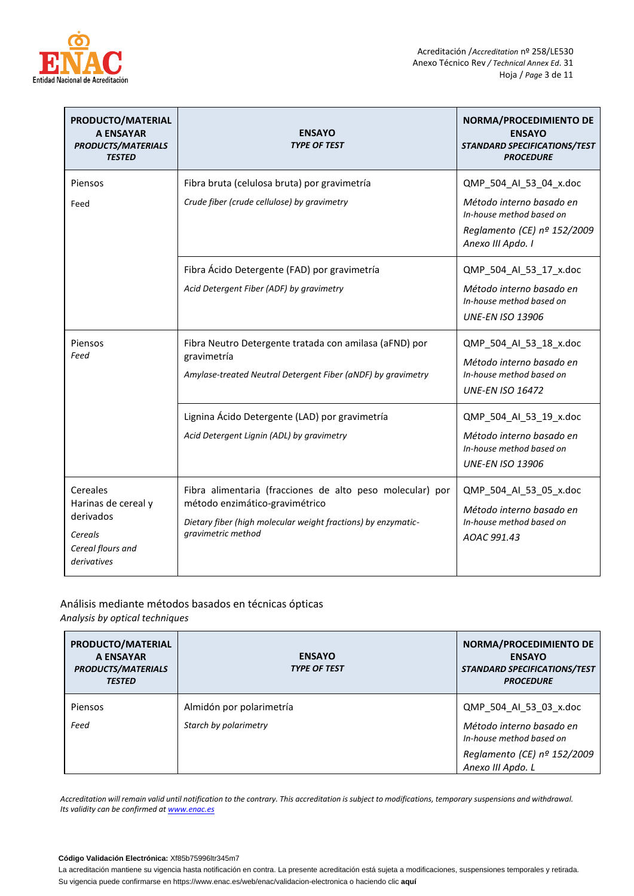

| PRODUCTO/MATERIAL<br><b>A ENSAYAR</b><br><b>PRODUCTS/MATERIALS</b><br><b>TESTED</b>         | <b>ENSAYO</b><br><b>TYPE OF TEST</b>                                                                                                                                               | NORMA/PROCEDIMIENTO DE<br><b>ENSAYO</b><br>STANDARD SPECIFICATIONS/TEST<br><b>PROCEDURE</b>                                        |
|---------------------------------------------------------------------------------------------|------------------------------------------------------------------------------------------------------------------------------------------------------------------------------------|------------------------------------------------------------------------------------------------------------------------------------|
| Piensos<br>Feed                                                                             | Fibra bruta (celulosa bruta) por gravimetría<br>Crude fiber (crude cellulose) by gravimetry                                                                                        | QMP_504_Al_53_04_x.doc<br>Método interno basado en<br>In-house method based on<br>Reglamento (CE) nº 152/2009<br>Anexo III Apdo. I |
|                                                                                             | Fibra Ácido Detergente (FAD) por gravimetría<br>Acid Detergent Fiber (ADF) by gravimetry                                                                                           | QMP_504_Al_53_17_x.doc<br>Método interno basado en<br>In-house method based on<br><b>UNE-EN ISO 13906</b>                          |
| Piensos<br>Feed                                                                             | Fibra Neutro Detergente tratada con amilasa (aFND) por<br>gravimetría<br>Amylase-treated Neutral Detergent Fiber (aNDF) by gravimetry                                              | QMP_504_Al_53_18_x.doc<br>Método interno basado en<br>In-house method based on<br><b>UNE-EN ISO 16472</b>                          |
|                                                                                             | Lignina Ácido Detergente (LAD) por gravimetría<br>Acid Detergent Lignin (ADL) by gravimetry                                                                                        | QMP_504_Al_53_19_x.doc<br>Método interno basado en<br>In-house method based on<br><b>UNE-EN ISO 13906</b>                          |
| Cereales<br>Harinas de cereal y<br>derivados<br>Cereals<br>Cereal flours and<br>derivatives | Fibra alimentaria (fracciones de alto peso molecular) por<br>método enzimático-gravimétrico<br>Dietary fiber (high molecular weight fractions) by enzymatic-<br>gravimetric method | QMP_504_Al_53_05_x.doc<br>Método interno basado en<br>In-house method based on<br>AOAC 991.43                                      |

# Análisis mediante métodos basados en técnicas ópticas

*Analysis by optical techniques* 

| PRODUCTO/MATERIAL<br>A ENSAYAR<br><b>PRODUCTS/MATERIALS</b><br><b>TESTED</b> | <b>ENSAYO</b><br><b>TYPE OF TEST</b> | NORMA/PROCEDIMIENTO DE<br><b>ENSAYO</b><br><b>STANDARD SPECIFICATIONS/TEST</b><br><b>PROCEDURE</b> |
|------------------------------------------------------------------------------|--------------------------------------|----------------------------------------------------------------------------------------------------|
| Piensos                                                                      | Almidón por polarimetría             | QMP 504 AI 53 03 x.doc                                                                             |
| Feed                                                                         | Starch by polarimetry                | Método interno basado en<br>In-house method based on                                               |
|                                                                              |                                      | Reglamento (CE) nº 152/2009<br>Anexo III Apdo. L                                                   |

*Accreditation will remain valid until notification to the contrary. This accreditation is subject to modifications, temporary suspensions and withdrawal. Its validity can be confirmed a[t www.enac.es](http://www.enac.es/)*

#### **Código Validación Electrónica:** Xf85b75996ltr345m7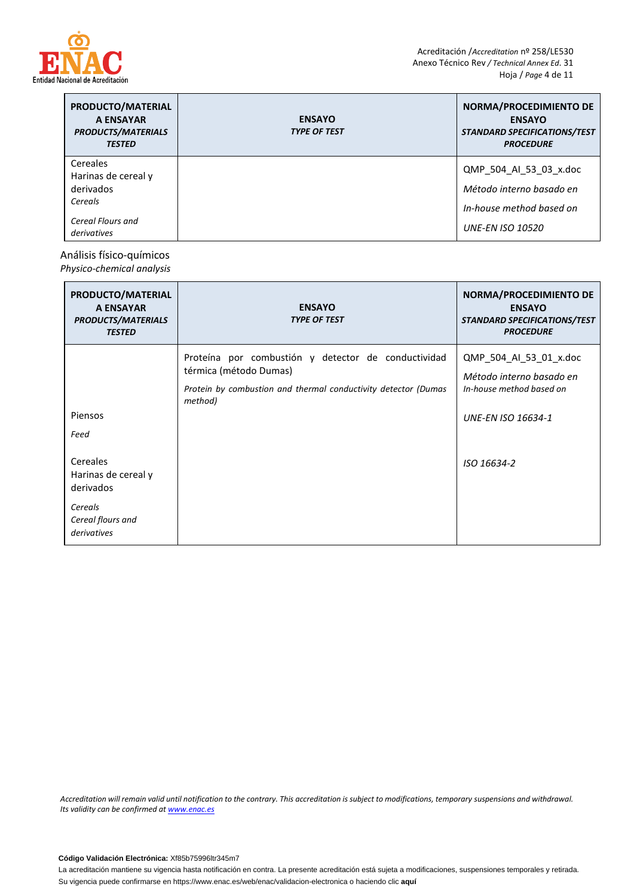

| PRODUCTO/MATERIAL<br>A ENSAYAR<br><b>PRODUCTS/MATERIALS</b><br><b>TESTED</b> | <b>ENSAYO</b><br><b>TYPE OF TEST</b> | NORMA/PROCEDIMIENTO DE<br><b>ENSAYO</b><br><b>STANDARD SPECIFICATIONS/TEST</b><br><b>PROCEDURE</b> |
|------------------------------------------------------------------------------|--------------------------------------|----------------------------------------------------------------------------------------------------|
| Cereales                                                                     |                                      | QMP 504 AI 53 03 x.doc                                                                             |
| Harinas de cereal y                                                          |                                      |                                                                                                    |
| derivados                                                                    |                                      | Método interno basado en                                                                           |
| Cereals                                                                      |                                      | In-house method based on                                                                           |
| Cereal Flours and<br>derivatives                                             |                                      | <b>UNE-EN ISO 10520</b>                                                                            |

## Análisis físico-químicos

*Physico-chemical analysis* 

| PRODUCTO/MATERIAL<br>A ENSAYAR<br><b>PRODUCTS/MATERIALS</b><br><b>TESTED</b>                | <b>ENSAYO</b><br><b>TYPE OF TEST</b>                                                                                                                       | NORMA/PROCEDIMIENTO DE<br><b>ENSAYO</b><br>STANDARD SPECIFICATIONS/TEST<br><b>PROCEDURE</b>                 |
|---------------------------------------------------------------------------------------------|------------------------------------------------------------------------------------------------------------------------------------------------------------|-------------------------------------------------------------------------------------------------------------|
| Piensos<br>Feed                                                                             | Proteína por combustión y detector de conductividad<br>térmica (método Dumas)<br>Protein by combustion and thermal conductivity detector (Dumas<br>method) | QMP_504_AI_53_01_x.doc<br>Método interno basado en<br>In-house method based on<br><b>UNE-EN ISO 16634-1</b> |
| Cereales<br>Harinas de cereal y<br>derivados<br>Cereals<br>Cereal flours and<br>derivatives |                                                                                                                                                            | ISO 16634-2                                                                                                 |

*Accreditation will remain valid until notification to the contrary. This accreditation is subject to modifications, temporary suspensions and withdrawal. Its validity can be confirmed a[t www.enac.es](http://www.enac.es/)*

**Código Validación Electrónica:** Xf85b75996ltr345m7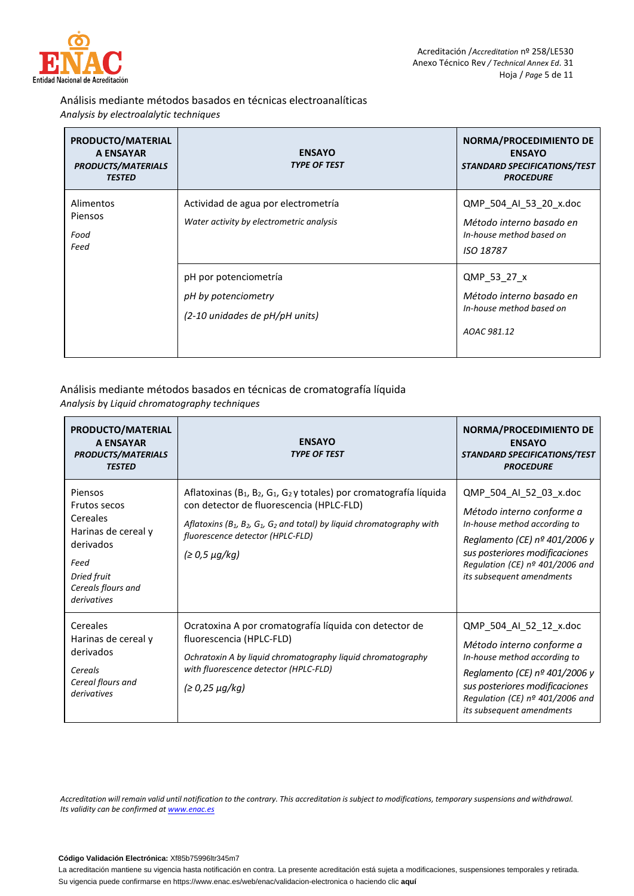

## Análisis mediante métodos basados en técnicas electroanalíticas *Analysis by electroalalytic techniques*

| PRODUCTO/MATERIAL<br>A ENSAYAR<br><b>PRODUCTS/MATERIALS</b><br><b>TESTED</b> | <b>ENSAYO</b><br><b>TYPE OF TEST</b>                                            | NORMA/PROCEDIMIENTO DE<br><b>ENSAYO</b><br><b>STANDARD SPECIFICATIONS/TEST</b><br><b>PROCEDURE</b> |
|------------------------------------------------------------------------------|---------------------------------------------------------------------------------|----------------------------------------------------------------------------------------------------|
| Alimentos<br>Piensos<br>Food<br>Feed                                         | Actividad de agua por electrometría<br>Water activity by electrometric analysis | QMP 504 AI 53 20 x.doc<br>Método interno basado en<br>In-house method based on<br>ISO 18787        |
|                                                                              | pH por potenciometría<br>pH by potenciometry<br>(2-10 unidades de pH/pH units)  | QMP 53 27 x<br>Método interno basado en<br>In-house method based on<br>AOAC 981.12                 |

## Análisis mediante métodos basados en técnicas de cromatografía líquida *Analysis b*y *Liquid chromatography techniques*

| PRODUCTO/MATERIAL<br><b>A ENSAYAR</b><br><b>PRODUCTS/MATERIALS</b><br><b>TESTED</b>                                                 | <b>ENSAYO</b><br><b>TYPE OF TEST</b>                                                                                                                                                                                                                                                                             | NORMA/PROCEDIMIENTO DE<br><b>ENSAYO</b><br>STANDARD SPECIFICATIONS/TEST<br><b>PROCEDURE</b>                                                                                                                                       |
|-------------------------------------------------------------------------------------------------------------------------------------|------------------------------------------------------------------------------------------------------------------------------------------------------------------------------------------------------------------------------------------------------------------------------------------------------------------|-----------------------------------------------------------------------------------------------------------------------------------------------------------------------------------------------------------------------------------|
| Piensos<br>Frutos secos<br>Cereales<br>Harinas de cereal y<br>derivados<br>Feed<br>Dried fruit<br>Cereals flours and<br>derivatives | Aflatoxinas (B <sub>1</sub> , B <sub>2</sub> , G <sub>1</sub> , G <sub>2</sub> y totales) por cromatografía líquida<br>con detector de fluorescencia (HPLC-FLD)<br>Aflatoxins ( $B_1$ , $B_2$ , $G_1$ , $G_2$ and total) by liquid chromatography with<br>fluorescence detector (HPLC-FLD)<br>$(≥ 0,5 \mu g/kg)$ | QMP_504_AI_52_03_x.doc<br>Método interno conforme a<br>In-house method according to<br>Reglamento (CE) $n2$ 401/2006 y<br>sus posteriores modificaciones<br>Regulation (CE) $n^{\circ}$ 401/2006 and<br>its subsequent amendments |
| Cereales<br>Harinas de cereal y<br>derivados<br>Cereals<br>Cereal flours and<br>derivatives                                         | Ocratoxina A por cromatografía líquida con detector de<br>fluorescencia (HPLC-FLD)<br>Ochratoxin A by liquid chromatography liquid chromatography<br>with fluorescence detector (HPLC-FLD)<br>$(≥ 0,25 \mu g/kg)$                                                                                                | QMP_504_AI_52_12_x.doc<br>Método interno conforme a<br>In-house method according to<br>Reglamento (CE) nº 401/2006 y<br>sus posteriores modificaciones<br>Regulation (CE) $n^{\circ}$ 401/2006 and<br>its subsequent amendments   |

*Accreditation will remain valid until notification to the contrary. This accreditation is subject to modifications, temporary suspensions and withdrawal. Its validity can be confirmed a[t www.enac.es](http://www.enac.es/)*

#### **Código Validación Electrónica:** Xf85b75996ltr345m7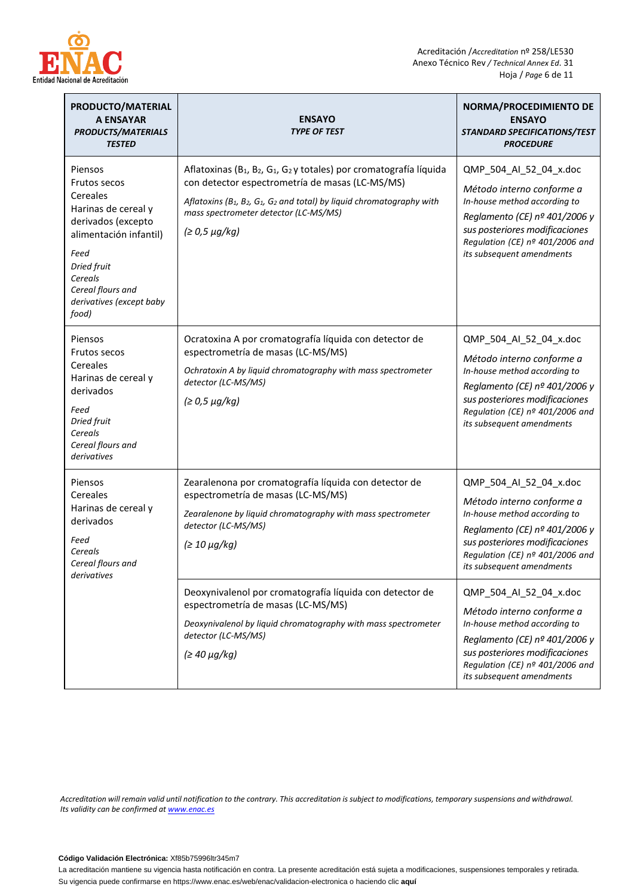

| PRODUCTO/MATERIAL<br><b>A ENSAYAR</b><br><b>PRODUCTS/MATERIALS</b><br><b>TESTED</b>                                                                                                                    | <b>ENSAYO</b><br><b>TYPE OF TEST</b>                                                                                                                                                                                                                                                                                         | NORMA/PROCEDIMIENTO DE<br><b>ENSAYO</b><br>STANDARD SPECIFICATIONS/TEST<br><b>PROCEDURE</b>                                                                                                                            |
|--------------------------------------------------------------------------------------------------------------------------------------------------------------------------------------------------------|------------------------------------------------------------------------------------------------------------------------------------------------------------------------------------------------------------------------------------------------------------------------------------------------------------------------------|------------------------------------------------------------------------------------------------------------------------------------------------------------------------------------------------------------------------|
| Piensos<br>Frutos secos<br>Cereales<br>Harinas de cereal y<br>derivados (excepto<br>alimentación infantil)<br>Feed<br>Dried fruit<br>Cereals<br>Cereal flours and<br>derivatives (except baby<br>food) | Aflatoxinas (B <sub>1</sub> , B <sub>2</sub> , G <sub>1</sub> , G <sub>2</sub> y totales) por cromatografía líquida<br>con detector espectrometría de masas (LC-MS/MS)<br>Aflatoxins ( $B_1$ , $B_2$ , $G_1$ , $G_2$ and total) by liquid chromatography with<br>mass spectrometer detector (LC-MS/MS)<br>$(≥ 0,5 \mu g/kg)$ | QMP_504_AI_52_04_x.doc<br>Método interno conforme a<br>In-house method according to<br>Reglamento (CE) nº 401/2006 y<br>sus posteriores modificaciones<br>Regulation (CE) nº 401/2006 and<br>its subsequent amendments |
| Piensos<br><b>Frutos secos</b><br>Cereales<br>Harinas de cereal y<br>derivados<br>Feed<br>Dried fruit<br>Cereals<br>Cereal flours and<br>derivatives                                                   | Ocratoxina A por cromatografía líquida con detector de<br>espectrometría de masas (LC-MS/MS)<br>Ochratoxin A by liquid chromatography with mass spectrometer<br>detector (LC-MS/MS)<br>$(≥ 0,5 \mu g/kg)$                                                                                                                    | QMP_504_Al_52_04_x.doc<br>Método interno conforme a<br>In-house method according to<br>Reglamento (CE) nº 401/2006 y<br>sus posteriores modificaciones<br>Regulation (CE) nº 401/2006 and<br>its subsequent amendments |
| Piensos<br>Cereales<br>espectrometría de masas (LC-MS/MS)<br>Harinas de cereal y<br>derivados<br>detector (LC-MS/MS)<br>Feed<br>$(≥ 10 \mu g/kg)$<br>Cereals<br>Cereal flours and<br>derivatives       | Zearalenona por cromatografía líquida con detector de<br>Zearalenone by liquid chromatography with mass spectrometer                                                                                                                                                                                                         | QMP_504_AI_52_04_x.doc<br>Método interno conforme a<br>In-house method according to<br>Reglamento (CE) nº 401/2006 y<br>sus posteriores modificaciones<br>Regulation (CE) nº 401/2006 and<br>its subsequent amendments |
|                                                                                                                                                                                                        | Deoxynivalenol por cromatografía líquida con detector de<br>espectrometría de masas (LC-MS/MS)<br>Deoxynivalenol by liquid chromatography with mass spectrometer<br>detector (LC-MS/MS)<br>$(≥ 40 \mu g/kg)$                                                                                                                 | QMP_504_Al_52_04_x.doc<br>Método interno conforme a<br>In-house method according to<br>Reglamento (CE) nº 401/2006 y<br>sus posteriores modificaciones<br>Regulation (CE) nº 401/2006 and<br>its subsequent amendments |

*Accreditation will remain valid until notification to the contrary. This accreditation is subject to modifications, temporary suspensions and withdrawal. Its validity can be confirmed a[t www.enac.es](http://www.enac.es/)*

#### **Código Validación Electrónica:** Xf85b75996ltr345m7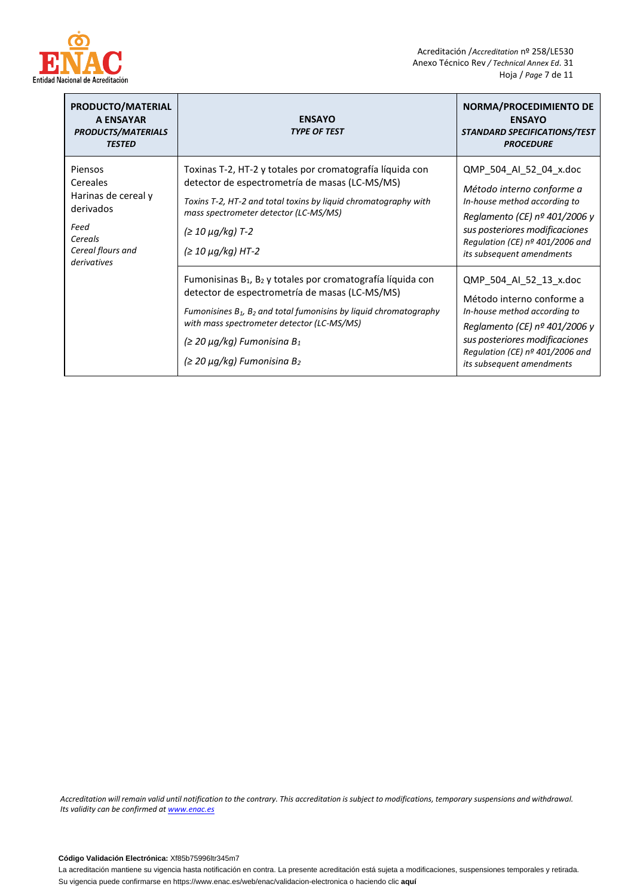

| PRODUCTO/MATERIAL<br><b>A ENSAYAR</b><br><b>PRODUCTS/MATERIALS</b><br><b>TESTED</b>                            | <b>ENSAYO</b><br><b>TYPE OF TEST</b>                                                                                                                                                                                                                                                                                                                         | NORMA/PROCEDIMIENTO DE<br><b>ENSAYO</b><br><b>STANDARD SPECIFICATIONS/TEST</b><br><b>PROCEDURE</b>                                                                                                                       |
|----------------------------------------------------------------------------------------------------------------|--------------------------------------------------------------------------------------------------------------------------------------------------------------------------------------------------------------------------------------------------------------------------------------------------------------------------------------------------------------|--------------------------------------------------------------------------------------------------------------------------------------------------------------------------------------------------------------------------|
| Piensos<br>Cereales<br>Harinas de cereal y<br>derivados<br>Feed<br>Cereals<br>Cereal flours and<br>derivatives | Toxinas T-2, HT-2 y totales por cromatografía líquida con<br>detector de espectrometría de masas (LC-MS/MS)<br>Toxins T-2, HT-2 and total toxins by liquid chromatography with<br>mass spectrometer detector (LC-MS/MS)<br>(≥ 10 µg/kg) T-2<br>$(≥ 10 \mu g/kg)$ HT-2                                                                                        | QMP 504 AI 52 04 x.doc<br>Método interno conforme a<br>In-house method according to<br>Reglamento (CE) $no$ 401/2006 y<br>sus posteriores modificaciones<br>Regulation (CE) nº 401/2006 and<br>its subsequent amendments |
|                                                                                                                | Fumonisinas B <sub>1</sub> , B <sub>2</sub> y totales por cromatografía líquida con<br>detector de espectrometría de masas (LC-MS/MS)<br>Fumonisines $B_1$ , $B_2$ and total fumonisins by liquid chromatography<br>with mass spectrometer detector (LC-MS/MS)<br>$(≥ 20 \mu g/kg)$ Fumonisina B <sub>1</sub><br>$(≥ 20 \mu g/kg)$ Fumonisina B <sub>2</sub> | QMP 504 AI 52 13 x.doc<br>Método interno conforme a<br>In-house method according to<br>Reglamento (CE) $n2$ 401/2006 y<br>sus posteriores modificaciones<br>Regulation (CE) nº 401/2006 and<br>its subsequent amendments |

*Accreditation will remain valid until notification to the contrary. This accreditation is subject to modifications, temporary suspensions and withdrawal. Its validity can be confirmed a[t www.enac.es](http://www.enac.es/)*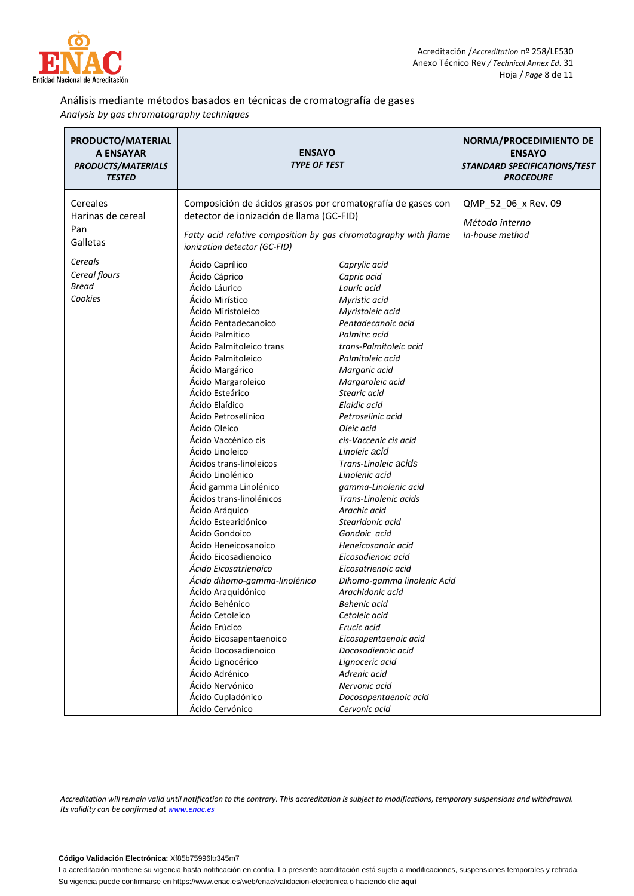

### Análisis mediante métodos basados en técnicas de cromatografía de gases *Analysis by gas chromatography techniques*

| PRODUCTO/MATERIAL<br>A ENSAYAR<br><b>PRODUCTS/MATERIALS</b><br><b>TESTED</b> | <b>ENSAYO</b><br><b>TYPE OF TEST</b>                                                                                                                                                                                                                                                                                                                                                                                                                                                                                                                                                                                                                                                                                                                                                                                                                             |                                                                                                                                                                                                                                                                                                                                                                                                                                                                                                                                                                                                                                                                                                                                                                                           | NORMA/PROCEDIMIENTO DE<br><b>ENSAYO</b><br>STANDARD SPECIFICATIONS/TEST<br><b>PROCEDURE</b> |
|------------------------------------------------------------------------------|------------------------------------------------------------------------------------------------------------------------------------------------------------------------------------------------------------------------------------------------------------------------------------------------------------------------------------------------------------------------------------------------------------------------------------------------------------------------------------------------------------------------------------------------------------------------------------------------------------------------------------------------------------------------------------------------------------------------------------------------------------------------------------------------------------------------------------------------------------------|-------------------------------------------------------------------------------------------------------------------------------------------------------------------------------------------------------------------------------------------------------------------------------------------------------------------------------------------------------------------------------------------------------------------------------------------------------------------------------------------------------------------------------------------------------------------------------------------------------------------------------------------------------------------------------------------------------------------------------------------------------------------------------------------|---------------------------------------------------------------------------------------------|
| Cereales<br>Harinas de cereal<br>Pan<br>Galletas                             | Composición de ácidos grasos por cromatografía de gases con<br>detector de ionización de llama (GC-FID)<br>Fatty acid relative composition by gas chromatography with flame<br>ionization detector (GC-FID)                                                                                                                                                                                                                                                                                                                                                                                                                                                                                                                                                                                                                                                      |                                                                                                                                                                                                                                                                                                                                                                                                                                                                                                                                                                                                                                                                                                                                                                                           | QMP_52_06_x Rev. 09<br>Método interno<br>In-house method                                    |
| Cereals<br>Cereal flours<br><b>Bread</b><br>Cookies                          | Ácido Caprílico<br>Ácido Cáprico<br>Ácido Láurico<br>Ácido Mirístico<br>Ácido Miristoleico<br>Ácido Pentadecanoico<br>Ácido Palmítico<br>Ácido Palmitoleico trans<br>Ácido Palmitoleico<br>Ácido Margárico<br>Ácido Margaroleico<br>Ácido Esteárico<br>Ácido Elaídico<br>Ácido Petroselínico<br>Ácido Oleico<br>Ácido Vaccénico cis<br>Ácido Linoleico<br>Ácidos trans-linoleicos<br>Acido Linolénico<br>Ácid gamma Linolénico<br>Ácidos trans-linolénicos<br>Ácido Aráquico<br>Ácido Estearidónico<br>Ácido Gondoico<br>Acido Heneicosanoico<br>Ácido Eicosadienoico<br>Ácido Eicosatrienoico<br>Ácido dihomo-gamma-linolénico<br>Ácido Araquidónico<br>Ácido Behénico<br>Ácido Cetoleico<br>Ácido Erúcico<br>Ácido Eicosapentaenoico<br>Ácido Docosadienoico<br>Ácido Lignocérico<br>Ácido Adrénico<br>Ácido Nervónico<br>Ácido Cupladónico<br>Ácido Cervónico | Caprylic acid<br>Capric acid<br>Lauric acid<br>Myristic acid<br>Myristoleic acid<br>Pentadecanoic acid<br>Palmitic acid<br>trans-Palmitoleic acid<br>Palmitoleic acid<br>Margaric acid<br>Margaroleic acid<br>Stearic acid<br>Elaidic acid<br>Petroselinic acid<br>Oleic acid<br>cis-Vaccenic cis acid<br>Linoleic acid<br>Trans-Linoleic acids<br>Linolenic acid<br>gamma-Linolenic acid<br>Trans-Linolenic acids<br>Arachic acid<br>Stearidonic acid<br>Gondoic acid<br>Heneicosanoic acid<br>Eicosadienoic acid<br>Eicosatrienoic acid<br>Dihomo-gamma linolenic Acid<br>Arachidonic acid<br>Behenic acid<br>Cetoleic acid<br>Erucic acid<br>Eicosapentaenoic acid<br>Docosadienoic acid<br>Lignoceric acid<br>Adrenic acid<br>Nervonic acid<br>Docosapentaenoic acid<br>Cervonic acid |                                                                                             |

*Accreditation will remain valid until notification to the contrary. This accreditation is subject to modifications, temporary suspensions and withdrawal. Its validity can be confirmed a[t www.enac.es](http://www.enac.es/)*

#### **Código Validación Electrónica:** Xf85b75996ltr345m7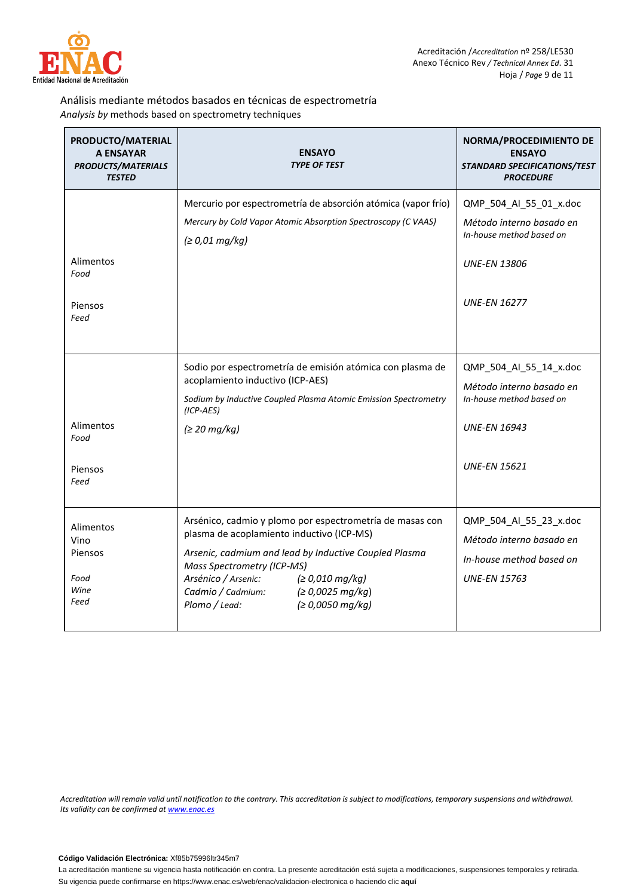

## Análisis mediante métodos basados en técnicas de espectrometría *Analysis by* methods based on spectrometry techniques

| PRODUCTO/MATERIAL<br><b>A ENSAYAR</b><br><b>PRODUCTS/MATERIALS</b><br><b>TESTED</b> | <b>ENSAYO</b><br><b>TYPE OF TEST</b>                                                                                                                                                                                                                                                                                 | NORMA/PROCEDIMIENTO DE<br><b>ENSAYO</b><br>STANDARD SPECIFICATIONS/TEST<br><b>PROCEDURE</b>                                  |
|-------------------------------------------------------------------------------------|----------------------------------------------------------------------------------------------------------------------------------------------------------------------------------------------------------------------------------------------------------------------------------------------------------------------|------------------------------------------------------------------------------------------------------------------------------|
| Alimentos<br>Food<br>Piensos<br>Feed                                                | Mercurio por espectrometría de absorción atómica (vapor frío)<br>Mercury by Cold Vapor Atomic Absorption Spectroscopy (C VAAS)<br>(≥ 0.01 mg/kg)                                                                                                                                                                     | QMP_504_Al_55_01_x.doc<br>Método interno basado en<br>In-house method based on<br><b>UNE-EN 13806</b><br><b>UNE-EN 16277</b> |
| Alimentos<br>Food<br>Piensos<br>Feed                                                | Sodio por espectrometría de emisión atómica con plasma de<br>acoplamiento inductivo (ICP-AES)<br>Sodium by Inductive Coupled Plasma Atomic Emission Spectrometry<br>$(ICP-AES)$<br>(≥ 20 mg/kg)                                                                                                                      | QMP_504_Al_55_14_x.doc<br>Método interno basado en<br>In-house method based on<br><b>UNE-EN 16943</b><br><b>UNE-EN 15621</b> |
| Alimentos<br>Vino<br>Piensos<br>Food<br>Wine<br>Feed                                | Arsénico, cadmio y plomo por espectrometría de masas con<br>plasma de acoplamiento inductivo (ICP-MS)<br>Arsenic, cadmium and lead by Inductive Coupled Plasma<br>Mass Spectrometry (ICP-MS)<br>Arsénico / Arsenic:<br>(≥ 0,010 mg/kg)<br>Cadmio / Cadmium:<br>(≥ 0,0025 mg/kg)<br>Plomo / Lead:<br>(≥ 0,0050 mg/kg) | QMP_504_Al_55_23_x.doc<br>Método interno basado en<br>In-house method based on<br><b>UNE-EN 15763</b>                        |

*Accreditation will remain valid until notification to the contrary. This accreditation is subject to modifications, temporary suspensions and withdrawal. Its validity can be confirmed a[t www.enac.es](http://www.enac.es/)*

#### **Código Validación Electrónica:** Xf85b75996ltr345m7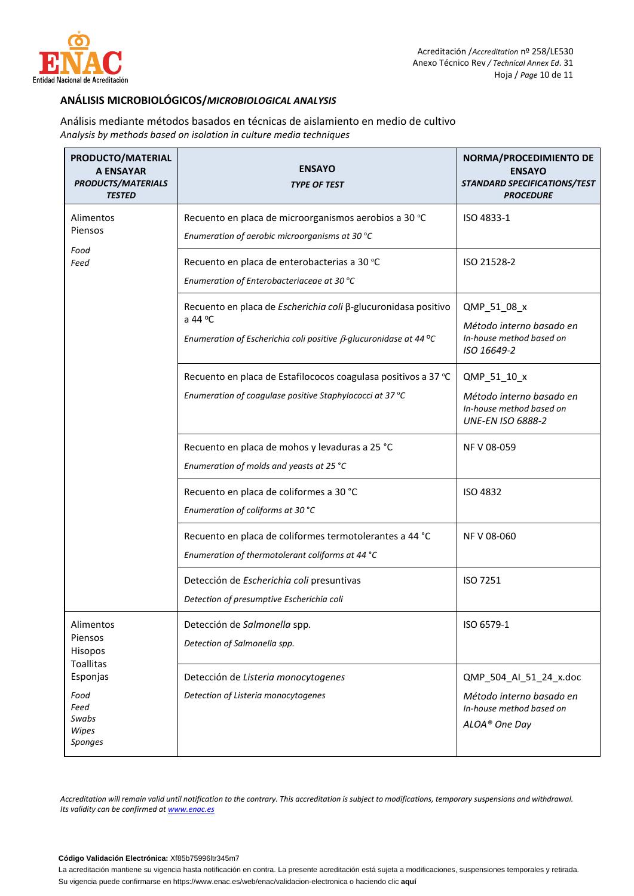

## **ANÁLISIS MICROBIOLÓGICOS/***MICROBIOLOGICAL ANALYSIS*

Análisis mediante métodos basados en técnicas de aislamiento en medio de cultivo *Analysis by methods based on isolation in culture media techniques*

| PRODUCTO/MATERIAL<br><b>A ENSAYAR</b><br><b>PRODUCTS/MATERIALS</b><br><b>TESTED</b>                          | <b>ENSAYO</b><br><b>TYPE OF TEST</b>                                                                                                                            | NORMA/PROCEDIMIENTO DE<br><b>ENSAYO</b><br>STANDARD SPECIFICATIONS/TEST<br><b>PROCEDURE</b>     |
|--------------------------------------------------------------------------------------------------------------|-----------------------------------------------------------------------------------------------------------------------------------------------------------------|-------------------------------------------------------------------------------------------------|
| Alimentos<br>Piensos<br>Food<br>Feed                                                                         | Recuento en placa de microorganismos aerobios a 30 °C<br>Enumeration of aerobic microorganisms at 30 °C                                                         | ISO 4833-1                                                                                      |
|                                                                                                              | Recuento en placa de enterobacterias a 30 °C<br>Enumeration of Enterobacteriaceae at 30 °C                                                                      | ISO 21528-2                                                                                     |
|                                                                                                              | Recuento en placa de Escherichia coli β-glucuronidasa positivo<br>a 44 $^{\circ}$ C<br>Enumeration of Escherichia coli positive $\beta$ -glucuronidase at 44 °C | QMP_51_08_x<br>Método interno basado en<br>In-house method based on<br>ISO 16649-2              |
|                                                                                                              | Recuento en placa de Estafilococos coagulasa positivos a 37 °C<br>Enumeration of coagulase positive Staphylococci at 37 °C                                      | QMP_51_10_x<br>Método interno basado en<br>In-house method based on<br><b>UNE-EN ISO 6888-2</b> |
|                                                                                                              | Recuento en placa de mohos y levaduras a 25 °C<br>Enumeration of molds and yeasts at 25 °C                                                                      | NF V 08-059                                                                                     |
|                                                                                                              | Recuento en placa de coliformes a 30 °C<br>Enumeration of coliforms at 30 °C                                                                                    | <b>ISO 4832</b>                                                                                 |
|                                                                                                              | Recuento en placa de coliformes termotolerantes a 44 °C<br>Enumeration of thermotolerant coliforms at 44 °C                                                     | NF V 08-060                                                                                     |
|                                                                                                              | Detección de Escherichia coli presuntivas<br>Detection of presumptive Escherichia coli                                                                          | ISO 7251                                                                                        |
| Alimentos<br>Piensos<br>Hisopos<br><b>Toallitas</b><br>Esponjas<br>Food<br>Feed<br>Swabs<br>Wipes<br>Sponges | Detección de Salmonella spp.<br>Detection of Salmonella spp.                                                                                                    | ISO 6579-1                                                                                      |
|                                                                                                              | Detección de Listeria monocytogenes<br>Detection of Listeria monocytogenes                                                                                      | QMP_504_AI_51_24_x.doc<br>Método interno basado en<br>In-house method based on<br>ALOA® One Day |

*Accreditation will remain valid until notification to the contrary. This accreditation is subject to modifications, temporary suspensions and withdrawal. Its validity can be confirmed a[t www.enac.es](http://www.enac.es/)*

#### **Código Validación Electrónica:** Xf85b75996ltr345m7